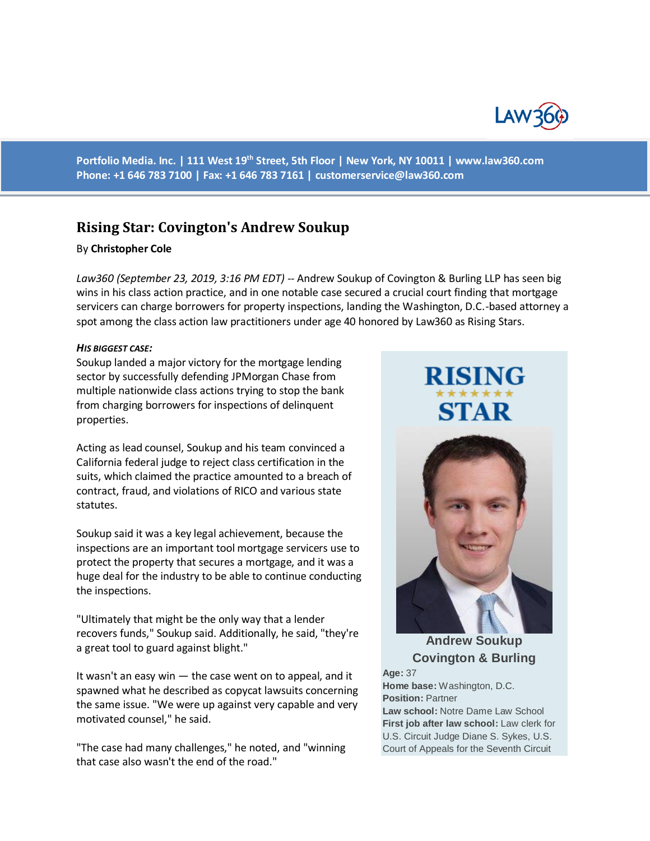

**Portfolio Media. Inc. | 111 West 19th Street, 5th Floor | New York, NY 10011 | www.law360.com Phone: +1 646 783 7100 | Fax: +1 646 783 7161 | [customerservice@law360.com](mailto:customerservice@law360.com)**

# **Rising Star: Covington's Andrew Soukup**

### By **Christopher Cole**

*Law360 (September 23, 2019, 3:16 PM EDT) --* Andrew Soukup of Covington & Burling LLP has seen big wins in his class action practice, and in one notable case secured a crucial court finding that mortgage servicers can charge borrowers for property inspections, landing the Washington, D.C.-based attorney a spot among the class action law practitioners under age 40 honored by Law360 as Rising Stars.

#### *HIS BIGGEST CASE:*

Soukup landed a major victory for the mortgage lending sector by successfully defending JPMorgan Chase from multiple nationwide class actions trying to stop the bank from charging borrowers for inspections of delinquent properties.

Acting as lead counsel, Soukup and his team convinced a California federal judge to reject class certification in the suits, which claimed the practice amounted to a breach of contract, fraud, and violations of RICO and various state statutes.

Soukup said it was a key legal achievement, because the inspections are an important tool mortgage servicers use to protect the property that secures a mortgage, and it was a huge deal for the industry to be able to continue conducting the inspections.

"Ultimately that might be the only way that a lender recovers funds," Soukup said. Additionally, he said, "they're a great tool to guard against blight."

It wasn't an easy win — the case went on to appeal, and it spawned what he described as copycat lawsuits concerning the same issue. "We were up against very capable and very motivated counsel," he said.

"The case had many challenges," he noted, and "winning that case also wasn't the end of the road."

# **RISING STAR**



**Andrew Soukup Covington & Burling**

**Age:** 37

**Home base:** Washington, D.C. **Position:** Partner

**Law school:** Notre Dame Law School **First job after law school:** Law clerk for U.S. Circuit Judge Diane S. Sykes, U.S. Court of Appeals for the Seventh Circuit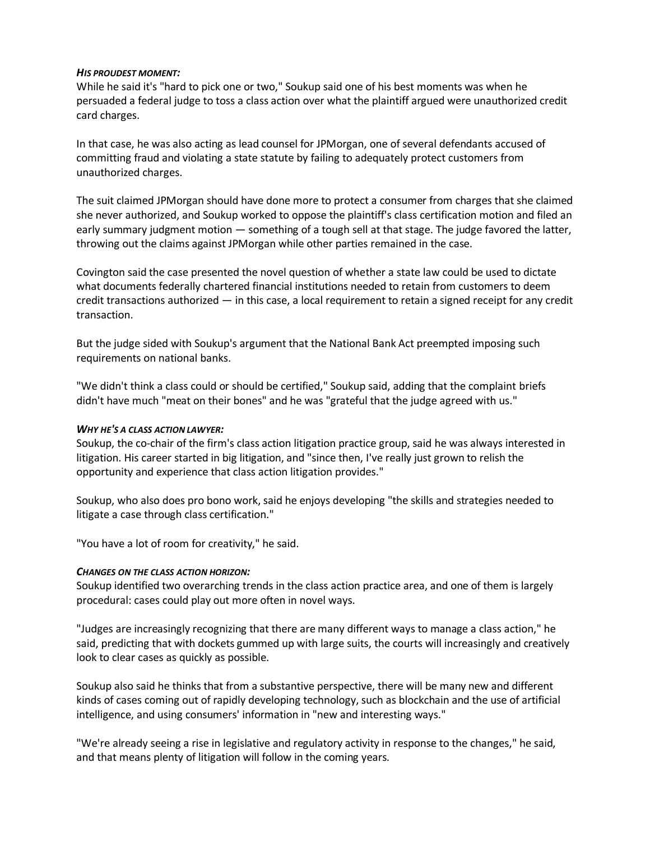### *HIS PROUDEST MOMENT:*

While he said it's "hard to pick one or two," Soukup said one of his best moments was when he persuaded a federal judge to toss a class action over what the plaintiff argued were unauthorized credit card charges.

In that case, he was also acting as lead counsel for JPMorgan, one of several defendants accused of committing fraud and violating a state statute by failing to adequately protect customers from unauthorized charges.

The suit claimed JPMorgan should have done more to protect a consumer from charges that she claimed she never authorized, and Soukup worked to oppose the plaintiff's class certification motion and filed an early summary judgment motion — something of a tough sell at that stage. The judge favored the latter, throwing out the claims against JPMorgan while other parties remained in the case.

Covington said the case presented the novel question of whether a state law could be used to dictate what documents federally chartered financial institutions needed to retain from customers to deem credit transactions authorized — in this case, a local requirement to retain a signed receipt for any credit transaction.

But the judge sided with Soukup's argument that the National Bank Act preempted imposing such requirements on national banks.

"We didn't think a class could or should be certified," Soukup said, adding that the complaint briefs didn't have much "meat on their bones" and he was "grateful that the judge agreed with us."

# *WHY HE'S A CLASS ACTION LAWYER:*

Soukup, the co-chair of the firm's class action litigation practice group, said he was always interested in litigation. His career started in big litigation, and "since then, I've really just grown to relish the opportunity and experience that class action litigation provides."

Soukup, who also does pro bono work, said he enjoys developing "the skills and strategies needed to litigate a case through class certification."

"You have a lot of room for creativity," he said.

# *CHANGES ON THE CLASS ACTION HORIZON:*

Soukup identified two overarching trends in the class action practice area, and one of them is largely procedural: cases could play out more often in novel ways.

"Judges are increasingly recognizing that there are many different ways to manage a class action," he said, predicting that with dockets gummed up with large suits, the courts will increasingly and creatively look to clear cases as quickly as possible.

Soukup also said he thinks that from a substantive perspective, there will be many new and different kinds of cases coming out of rapidly developing technology, such as blockchain and the use of artificial intelligence, and using consumers' information in "new and interesting ways."

"We're already seeing a rise in legislative and regulatory activity in response to the changes," he said, and that means plenty of litigation will follow in the coming years.